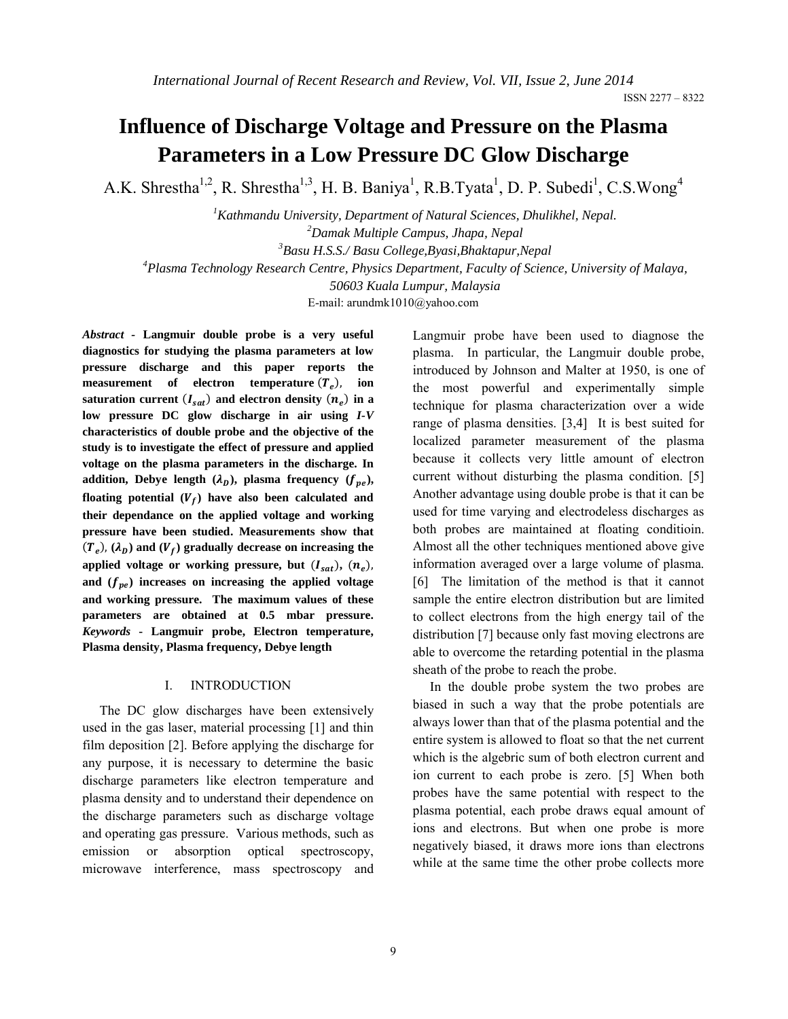ISSN 2277 – 8322

# **Influence of Discharge Voltage and Pressure on the Plasma Parameters in a Low Pressure DC Glow Discharge**

A.K. Shrestha<sup>1,2</sup>, R. Shrestha<sup>1,3</sup>, H. B. Baniya<sup>1</sup>, R.B.Tyata<sup>1</sup>, D. P. Subedi<sup>1</sup>, C.S.Wong<sup>4</sup>

 *Kathmandu University, Department of Natural Sciences, Dhulikhel, Nepal. Damak Multiple Campus, Jhapa, Nepal Basu H.S.S./ Basu College,Byasi,Bhaktapur,Nepal Plasma Technology Research Centre, Physics Department, Faculty of Science, University of Malaya, 50603 Kuala Lumpur, Malaysia*

E-mail: arundmk1010@yahoo.com

*Abstract -* **Langmuir double probe is a very useful diagnostics for studying the plasma parameters at low pressure discharge and this paper reports the measurement** of electron temperature  $(T_e)$ , ion saturation current  $(I_{sat})$  and electron density  $(n_e)$  in a **low pressure DC glow discharge in air using** *I-V* **characteristics of double probe and the objective of the study is to investigate the effect of pressure and applied voltage on the plasma parameters in the discharge. In**  addition, Debye length  $(\lambda_D)$ , plasma frequency  $(f_{pe})$ , floating potential  $(V_f)$  have also been calculated and **their dependance on the applied voltage and working pressure have been studied. Measurements show that**   $(T_e)$ ,  $(\lambda_p)$  and  $(V_f)$  gradually decrease on increasing the applied voltage or working pressure, but  $(I_{sat})$ ,  $(n_e)$ , and  $(f_{ne})$  increases on increasing the applied voltage **and working pressure. The maximum values of these parameters are obtained at 0.5 mbar pressure.**  *Keywords* **- Langmuir probe, Electron temperature, Plasma density, Plasma frequency, Debye length**

#### I. INTRODUCTION

The DC glow discharges have been extensively used in the gas laser, material processing [1] and thin film deposition [2]. Before applying the discharge for any purpose, it is necessary to determine the basic discharge parameters like electron temperature and plasma density and to understand their dependence on the discharge parameters such as discharge voltage and operating gas pressure. Various methods, such as emission or absorption optical spectroscopy, microwave interference, mass spectroscopy and Langmuir probe have been used to diagnose the plasma. In particular, the Langmuir double probe, introduced by Johnson and Malter at 1950, is one of the most powerful and experimentally simple technique for plasma characterization over a wide range of plasma densities. [3,4] It is best suited for localized parameter measurement of the plasma because it collects very little amount of electron current without disturbing the plasma condition. [5] Another advantage using double probe is that it can be used for time varying and electrodeless discharges as both probes are maintained at floating conditioin. Almost all the other techniques mentioned above give information averaged over a large volume of plasma. [6] The limitation of the method is that it cannot sample the entire electron distribution but are limited to collect electrons from the high energy tail of the distribution [7] because only fast moving electrons are able to overcome the retarding potential in the plasma sheath of the probe to reach the probe.

In the double probe system the two probes are biased in such a way that the probe potentials are always lower than that of the plasma potential and the entire system is allowed to float so that the net current which is the algebric sum of both electron current and ion current to each probe is zero. [5] When both probes have the same potential with respect to the plasma potential, each probe draws equal amount of ions and electrons. But when one probe is more negatively biased, it draws more ions than electrons while at the same time the other probe collects more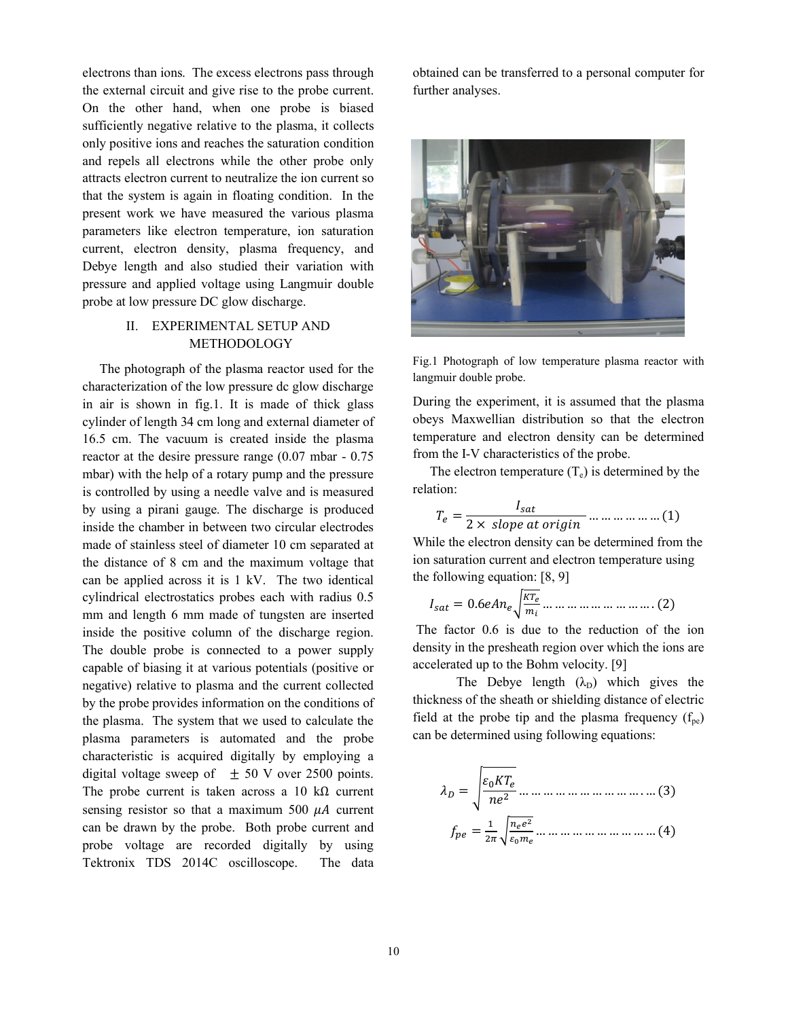electrons than ions. The excess electrons pass through the external circuit and give rise to the probe current. On the other hand, when one probe is biased sufficiently negative relative to the plasma, it collects only positive ions and reaches the saturation condition and repels all electrons while the other probe only attracts electron current to neutralize the ion current so that the system is again in floating condition. In the present work we have measured the various plasma parameters like electron temperature, ion saturation current, electron density, plasma frequency, and Debye length and also studied their variation with pressure and applied voltage using Langmuir double probe at low pressure DC glow discharge.

## II. EXPERIMENTAL SETUP AND METHODOLOGY

The photograph of the plasma reactor used for the characterization of the low pressure dc glow discharge in air is shown in fig.1. It is made of thick glass cylinder of length 34 cm long and external diameter of 16.5 cm. The vacuum is created inside the plasma reactor at the desire pressure range (0.07 mbar - 0.75 mbar) with the help of a rotary pump and the pressure is controlled by using a needle valve and is measured by using a pirani gauge. The discharge is produced inside the chamber in between two circular electrodes made of stainless steel of diameter 10 cm separated at the distance of 8 cm and the maximum voltage that can be applied across it is 1 kV. The two identical cylindrical electrostatics probes each with radius 0.5 mm and length 6 mm made of tungsten are inserted inside the positive column of the discharge region. The double probe is connected to a power supply capable of biasing it at various potentials (positive or negative) relative to plasma and the current collected by the probe provides information on the conditions of the plasma. The system that we used to calculate the plasma parameters is automated and the probe characteristic is acquired digitally by employing a digital voltage sweep of  $\pm$  50 V over 2500 points. The probe current is taken across a 10 k $\Omega$  current sensing resistor so that a maximum 500  $\mu$ A current can be drawn by the probe. Both probe current and probe voltage are recorded digitally by using Tektronix TDS 2014C oscilloscope. The data

obtained can be transferred to a personal computer for further analyses.



Fig.1 Photograph of low temperature plasma reactor with langmuir double probe.

During the experiment, it is assumed that the plasma obeys Maxwellian distribution so that the electron temperature and electron density can be determined from the I-V characteristics of the probe.

The electron temperature  $(T_e)$  is determined by the relation:

$$
T_e = \frac{I_{sat}}{2 \times slope \ at \ origin} \dots \dots \dots \dots \dots (1)
$$

While the electron density can be determined from the ion saturation current and electron temperature using the following equation: [8, 9]

$$
I_{sat} = 0.6eAn_e \sqrt{\frac{\kappa T_e}{m_i}} \dots \dots \dots \dots \dots \dots \dots \dots \dots (2)
$$

The factor 0.6 is due to the reduction of the ion density in the presheath region over which the ions are accelerated up to the Bohm velocity. [9]

The Debye length  $(\lambda_D)$  which gives the thickness of the sheath or shielding distance of electric field at the probe tip and the plasma frequency  $(f_{\text{ne}})$ can be determined using following equations:

ܶܭߝඨ <sup>=</sup> <sup>ߣ</sup> ݊݁<sup>ଶ</sup> … … … … … … … … … … . … (3) ݂ <sup>=</sup> <sup>ଵ</sup> ଶగ <sup>ට</sup><sup>మ</sup> ఌబ … … … … … … … … … … (4)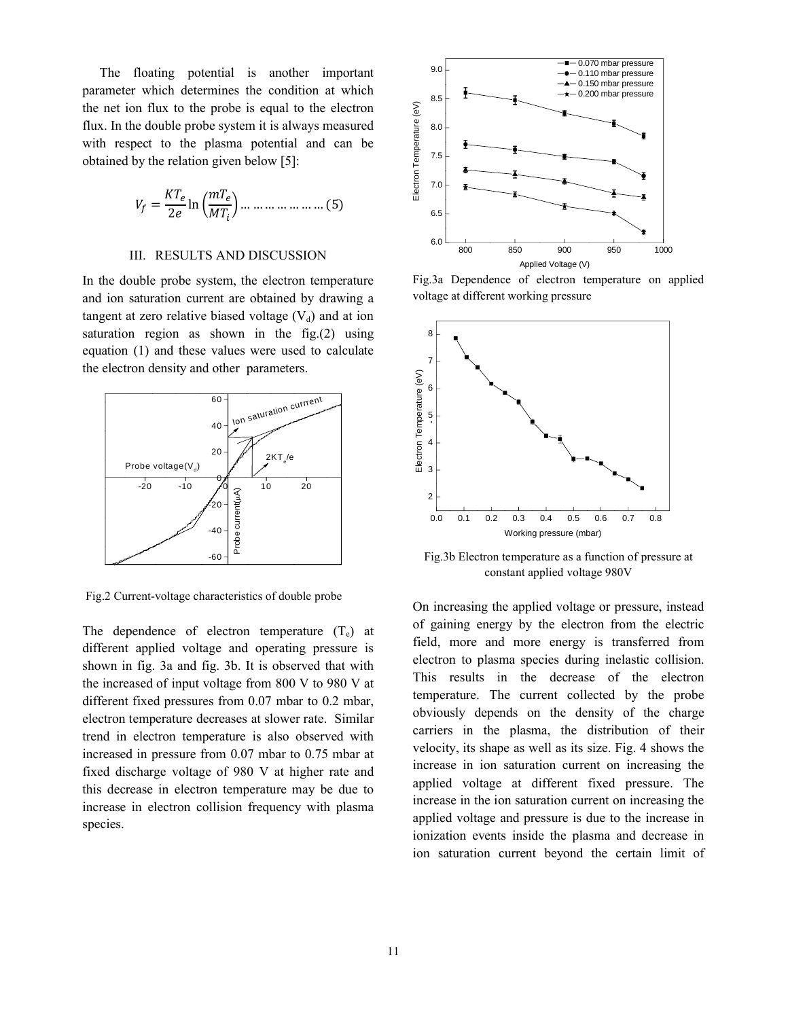The floating potential is another important parameter which determines the condition at which the net ion flux to the probe is equal to the electron flux. In the double probe system it is always measured with respect to the plasma potential and can be obtained by the relation given below [5]:

$$
V_f = \frac{KT_e}{2e} \ln\left(\frac{mT_e}{MT_i}\right) \dots \dots \dots \dots \dots \dots \dots \dots (5)
$$

## III. RESULTS AND DISCUSSION

In the double probe system, the electron temperature and ion saturation current are obtained by drawing a tangent at zero relative biased voltage  $(V_d)$  and at ion saturation region as shown in the fig.(2) using equation (1) and these values were used to calculate the electron density and other parameters.



Fig.2 Current-voltage characteristics of double probe

The dependence of electron temperature  $(T_e)$  at different applied voltage and operating pressure is shown in fig. 3a and fig. 3b. It is observed that with the increased of input voltage from 800 V to 980 V at different fixed pressures from 0.07 mbar to 0.2 mbar, electron temperature decreases at slower rate. Similar trend in electron temperature is also observed with increased in pressure from 0.07 mbar to 0.75 mbar at fixed discharge voltage of 980 V at higher rate and this decrease in electron temperature may be due to increase in electron collision frequency with plasma species.



Fig.3a Dependence of electron temperature on applied voltage at different working pressure



Fig.3b Electron temperature as a function of pressure at constant applied voltage 980V

On increasing the applied voltage or pressure, instead of gaining energy by the electron from the electric field, more and more energy is transferred from electron to plasma species during inelastic collision. This results in the decrease of the electron temperature. The current collected by the probe obviously depends on the density of the charge carriers in the plasma, the distribution of their velocity, its shape as well as its size. Fig. 4 shows the increase in ion saturation current on increasing the applied voltage at different fixed pressure. The increase in the ion saturation current on increasing the applied voltage and pressure is due to the increase in ionization events inside the plasma and decrease in ion saturation current beyond the certain limit of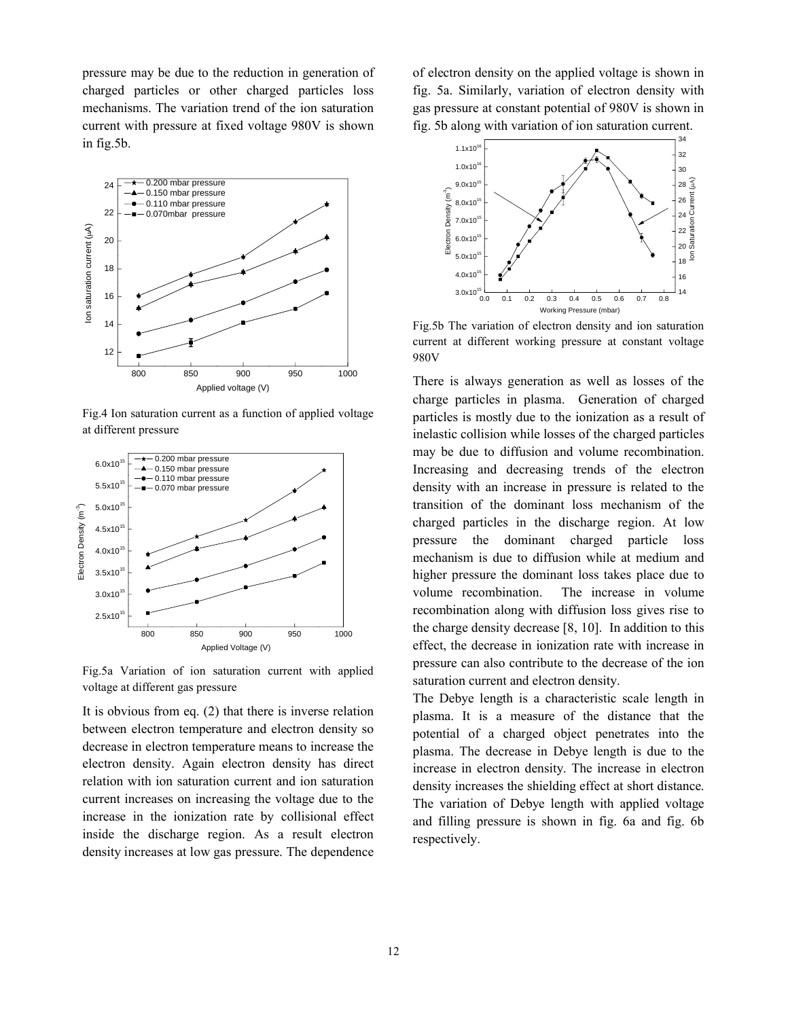pressure may be due to the reduction in generation of charged particles or other charged particles loss mechanisms. The variation trend of the ion saturation current with pressure at fixed voltage 980V is shown in fig.5b.



Fig.4 Ion saturation current as a function of applied voltage at different pressure



Fig.5a Variation of ion saturation current with applied voltage at different gas pressure

It is obvious from eq. (2) that there is inverse relation between electron temperature and electron density so decrease in electron temperature means to increase the electron density. Again electron density has direct relation with ion saturation current and ion saturation current increases on increasing the voltage due to the increase in the ionization rate by collisional effect inside the discharge region. As a result electron density increases at low gas pressure. The dependence

of electron density on the applied voltage is shown in fig. 5a. Similarly, variation of electron density with gas pressure at constant potential of 980V is shown in fig. 5b along with variation of ion saturation current.



Fig.5b The variation of electron density and ion saturation current at different working pressure at constant voltage 980V

There is always generation as well as losses of the charge particles in plasma. Generation of charged particles is mostly due to the ionization as a result of inelastic collision while losses of the charged particles may be due to diffusion and volume recombination. Increasing and decreasing trends of the electron density with an increase in pressure is related to the transition of the dominant loss mechanism of the charged particles in the discharge region. At low pressure the dominant charged particle loss mechanism is due to diffusion while at medium and higher pressure the dominant loss takes place due to volume recombination. The increase in volume recombination along with diffusion loss gives rise to the charge density decrease [8, 10]. In addition to this effect, the decrease in ionization rate with increase in pressure can also contribute to the decrease of the ion saturation current and electron density.

The Debye length is a characteristic scale length in plasma. It is a measure of the distance that the potential of a charged object penetrates into the plasma. The decrease in Debye length is due to the increase in electron density. The increase in electron density increases the shielding effect at short distance. The variation of Debye length with applied voltage and filling pressure is shown in fig. 6a and fig. 6b respectively.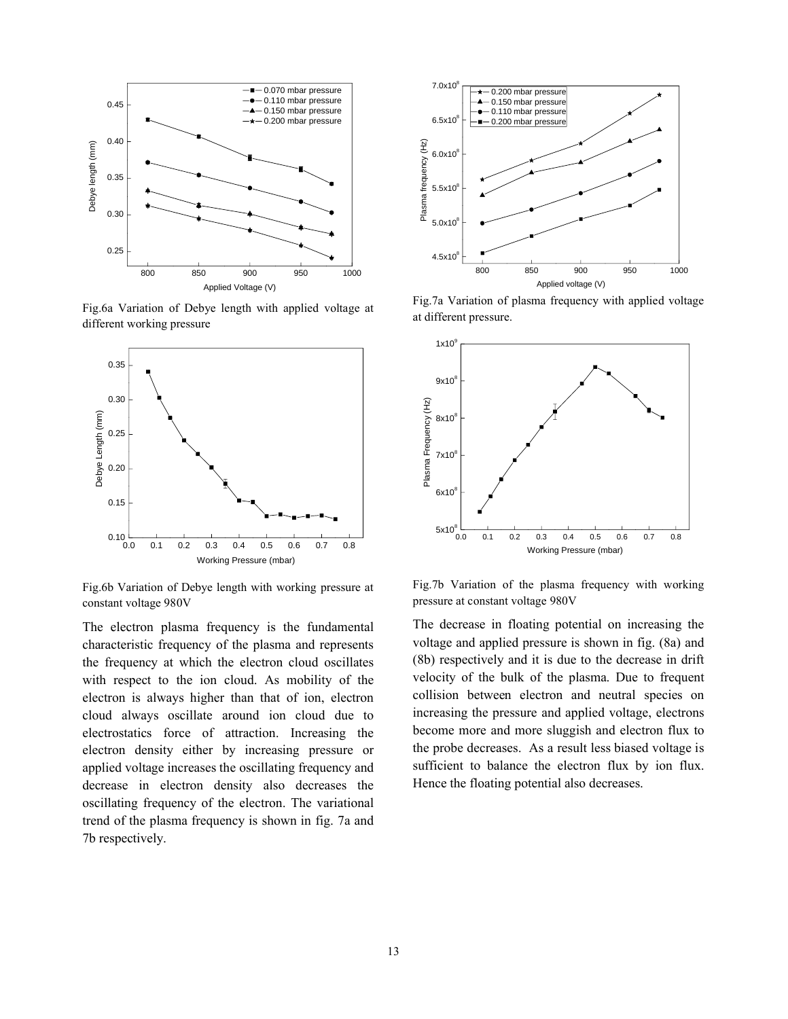

Fig.6a Variation of Debye length with applied voltage at different working pressure



Fig.6b Variation of Debye length with working pressure at constant voltage 980V

The electron plasma frequency is the fundamental characteristic frequency of the plasma and represents the frequency at which the electron cloud oscillates with respect to the ion cloud. As mobility of the electron is always higher than that of ion, electron cloud always oscillate around ion cloud due to electrostatics force of attraction. Increasing the electron density either by increasing pressure or applied voltage increases the oscillating frequency and decrease in electron density also decreases the oscillating frequency of the electron. The variational trend of the plasma frequency is shown in fig. 7a and 7b respectively.



Fig.7a Variation of plasma frequency with applied voltage at different pressure.



Fig.7b Variation of the plasma frequency with working pressure at constant voltage 980V

The decrease in floating potential on increasing the voltage and applied pressure is shown in fig. (8a) and (8b) respectively and it is due to the decrease in drift velocity of the bulk of the plasma. Due to frequent collision between electron and neutral species on increasing the pressure and applied voltage, electrons become more and more sluggish and electron flux to the probe decreases. As a result less biased voltage is sufficient to balance the electron flux by ion flux. Hence the floating potential also decreases.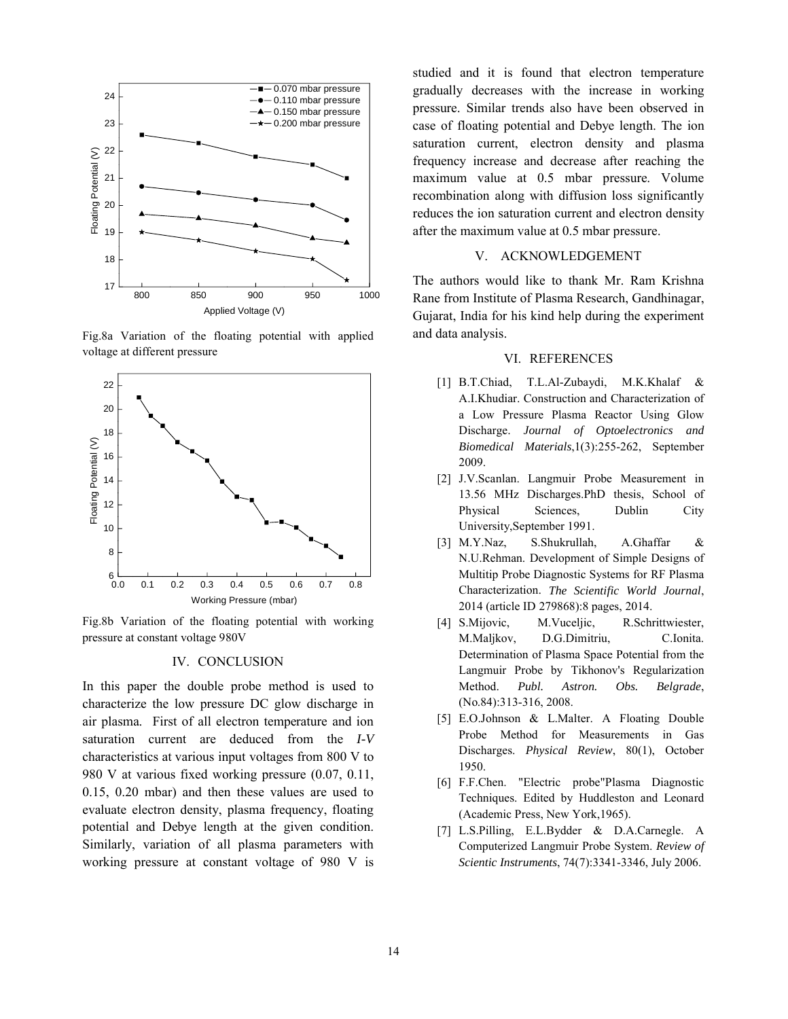

Fig.8a Variation of the floating potential with applied voltage at different pressure



Fig.8b Variation of the floating potential with working pressure at constant voltage 980V

#### IV. CONCLUSION

In this paper the double probe method is used to characterize the low pressure DC glow discharge in air plasma. First of all electron temperature and ion saturation current are deduced from the *I-V* characteristics at various input voltages from 800 V to 980 V at various fixed working pressure (0.07, 0.11, 0.15, 0.20 mbar) and then these values are used to evaluate electron density, plasma frequency, floating potential and Debye length at the given condition. Similarly, variation of all plasma parameters with working pressure at constant voltage of 980 V is studied and it is found that electron temperature gradually decreases with the increase in working pressure. Similar trends also have been observed in case of floating potential and Debye length. The ion saturation current, electron density and plasma frequency increase and decrease after reaching the maximum value at 0.5 mbar pressure. Volume recombination along with diffusion loss significantly reduces the ion saturation current and electron density after the maximum value at 0.5 mbar pressure.

### V. ACKNOWLEDGEMENT

The authors would like to thank Mr. Ram Krishna Rane from Institute of Plasma Research, Gandhinagar, Gujarat, India for his kind help during the experiment and data analysis.

#### VI. REFERENCES

- [1] B.T.Chiad, T.L.Al-Zubaydi, M.K.Khalaf & A.I.Khudiar. Construction and Characterization of a Low Pressure Plasma Reactor Using Glow Discharge. *Journal of Optoelectronics and Biomedical Materials*,1(3):255-262, September 2009.
- [2] J.V.Scanlan. Langmuir Probe Measurement in 13.56 MHz Discharges.PhD thesis, School of Physical Sciences, Dublin City University,September 1991.
- [3] M.Y.Naz, S.Shukrullah, A.Ghaffar & N.U.Rehman. Development of Simple Designs of Multitip Probe Diagnostic Systems for RF Plasma Characterization. *The Scientific World Journal*, 2014 (article ID 279868):8 pages, 2014.
- [4] S.Mijovic, M.Vuceljic, R.Schrittwiester, M.Maljkov, D.G.Dimitriu, C.Ionita. Determination of Plasma Space Potential from the Langmuir Probe by Tikhonov's Regularization Method. *Publ. Astron. Obs. Belgrade*, (No.84):313-316, 2008.
- [5] E.O.Johnson & L.Malter. A Floating Double Probe Method for Measurements in Gas Discharges. *Physical Review*, 80(1), October 1950.
- [6] F.F.Chen. "Electric probe"Plasma Diagnostic Techniques. Edited by Huddleston and Leonard (Academic Press, New York,1965).
- [7] L.S.Pilling, E.L.Bydder & D.A.Carnegle. A Computerized Langmuir Probe System. *Review of Scientic Instruments*, 74(7):3341-3346, July 2006.